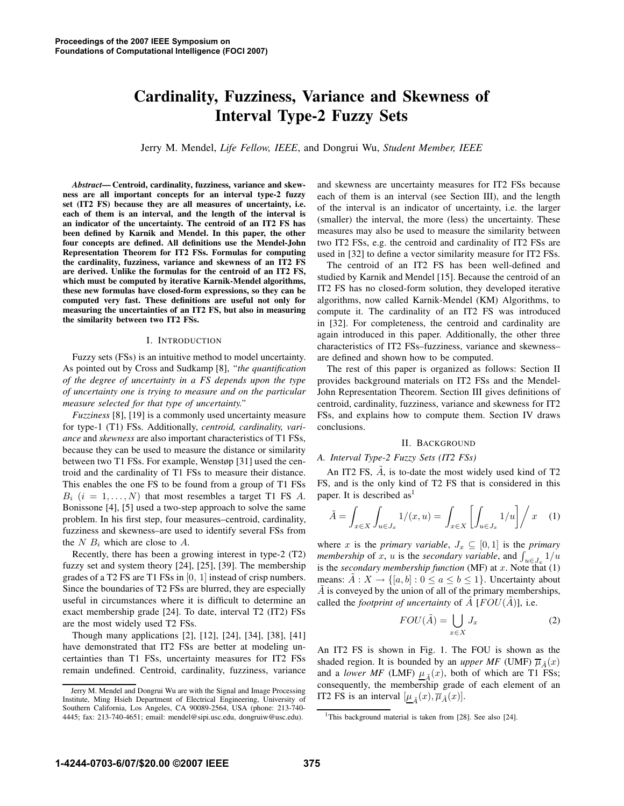# Cardinality, Fuzziness, Variance and Skewness of Interval Type-2 Fuzzy Sets

Jerry M. Mendel, *Life Fellow, IEEE*, and Dongrui Wu, *Student Member, IEEE*

*Abstract*— Centroid, cardinality, fuzziness, variance and skewness are all important concepts for an interval type-2 fuzzy set (IT2 FS) because they are all measures of uncertainty, i.e. each of them is an interval, and the length of the interval is an indicator of the uncertainty. The centroid of an IT2 FS has been defined by Karnik and Mendel. In this paper, the other four concepts are defined. All definitions use the Mendel-John Representation Theorem for IT2 FSs. Formulas for computing the cardinality, fuzziness, variance and skewness of an IT2 FS are derived. Unlike the formulas for the centroid of an IT2 FS, which must be computed by iterative Karnik-Mendel algorithms, these new formulas have closed-form expressions, so they can be computed very fast. These definitions are useful not only for measuring the uncertainties of an IT2 FS, but also in measuring the similarity between two IT2 FSs.

#### I. INTRODUCTION

Fuzzy sets (FSs) is an intuitive method to model uncertainty. As pointed out by Cross and Sudkamp [8], *"the quantification of the degree of uncertainty in a FS depends upon the type of uncertainty one is trying to measure and on the particular measure selected for that type of uncertainty."*

*Fuzziness* [8], [19] is a commonly used uncertainty measure for type-1 (T1) FSs. Additionally, *centroid, cardinality, variance* and *skewness* are also important characteristics of T1 FSs, because they can be used to measure the distance or similarity between two T1 FSs. For example, Wenstøp [31] used the centroid and the cardinality of T1 FSs to measure their distance. This enables the one FS to be found from a group of T1 FSs  $B_i$  ( $i = 1, \ldots, N$ ) that most resembles a target T1 FS A. Bonissone [4], [5] used a two-step approach to solve the same problem. In his first step, four measures–centroid, cardinality, fuzziness and skewness–are used to identify several FSs from the  $N B_i$  which are close to  $A$ .

Recently, there has been a growing interest in type-2 (T2) fuzzy set and system theory [24], [25], [39]. The membership grades of a T2 FS are T1 FSs in [0, 1] instead of crisp numbers. Since the boundaries of T2 FSs are blurred, they are especially useful in circumstances where it is difficult to determine an exact membership grade [24]. To date, interval T2 (IT2) FSs are the most widely used T2 FSs.

Though many applications [2], [12], [24], [34], [38], [41] have demonstrated that IT2 FSs are better at modeling uncertainties than T1 FSs, uncertainty measures for IT2 FSs remain undefined. Centroid, cardinality, fuzziness, variance

and skewness are uncertainty measures for IT2 FSs because each of them is an interval (see Section III), and the length of the interval is an indicator of uncertainty, i.e. the larger (smaller) the interval, the more (less) the uncertainty. These measures may also be used to measure the similarity between two IT2 FSs, e.g. the centroid and cardinality of IT2 FSs are used in [32] to define a vector similarity measure for IT2 FSs.

The centroid of an IT2 FS has been well-defined and studied by Karnik and Mendel [15]. Because the centroid of an IT2 FS has no closed-form solution, they developed iterative algorithms, now called Karnik-Mendel (KM) Algorithms, to compute it. The cardinality of an IT2 FS was introduced in [32]. For completeness, the centroid and cardinality are again introduced in this paper. Additionally, the other three characteristics of IT2 FSs–fuzziness, variance and skewness– are defined and shown how to be computed.

The rest of this paper is organized as follows: Section II provides background materials on IT2 FSs and the Mendel-John Representation Theorem. Section III gives definitions of centroid, cardinality, fuzziness, variance and skewness for IT2 FSs, and explains how to compute them. Section IV draws conclusions.

## II. BACKGROUND

## *A. Interval Type-2 Fuzzy Sets (IT2 FSs)*

An IT2 FS,  $\tilde{A}$ , is to-date the most widely used kind of T2 FS, and is the only kind of T2 FS that is considered in this paper. It is described  $as<sup>1</sup>$ 

$$
\tilde{A} = \int_{x \in X} \int_{u \in J_x} 1/(x, u) = \int_{x \in X} \left[ \int_{u \in J_x} 1/u \right] / x \quad (1)
$$

where x is the *primary variable*,  $J_x \subseteq [0,1]$  is the *primary membership* of x, u is the *secondary variable*, and  $\int_{u \in J_x} 1/u$ is the *secondary membership function* (MF) at x. Note that (1) means:  $A: X \to \{[a, b]: 0 \le a \le b \le 1\}$ . Uncertainty about A is conveyed by the union of all of the primary memberships, called the *footprint of uncertainty* of  $\tilde{A}$  [ $FOU(\tilde{A})$ ], i.e.

$$
FOU(\tilde{A}) = \bigcup_{x \in X} J_x \tag{2}
$$

An IT2 FS is shown in Fig. 1. The FOU is shown as the shaded region. It is bounded by an *upper MF* (UMF)  $\overline{\mu}_{\tilde{\Lambda}}(x)$ and a *lower MF* (LMF)  $\mu_{\tilde{A}}(x)$ , both of which are T1 FSs; consequently, the membership grade of each element of an IT2 FS is an interval  $[\mu_{\tilde{A}}(x), \overline{\mu}_{\tilde{A}}(x)].$ 

Jerry M. Mendel and Dongrui Wu are with the Signal and Image Processing Institute, Ming Hsieh Department of Electrical Engineering, University of Southern California, Los Angeles, CA 90089-2564, USA (phone: 213-740- 4445; fax: 213-740-4651; email: mendel@sipi.usc.edu, dongruiw@usc.edu).

<sup>&</sup>lt;sup>1</sup>This background material is taken from [28]. See also [24].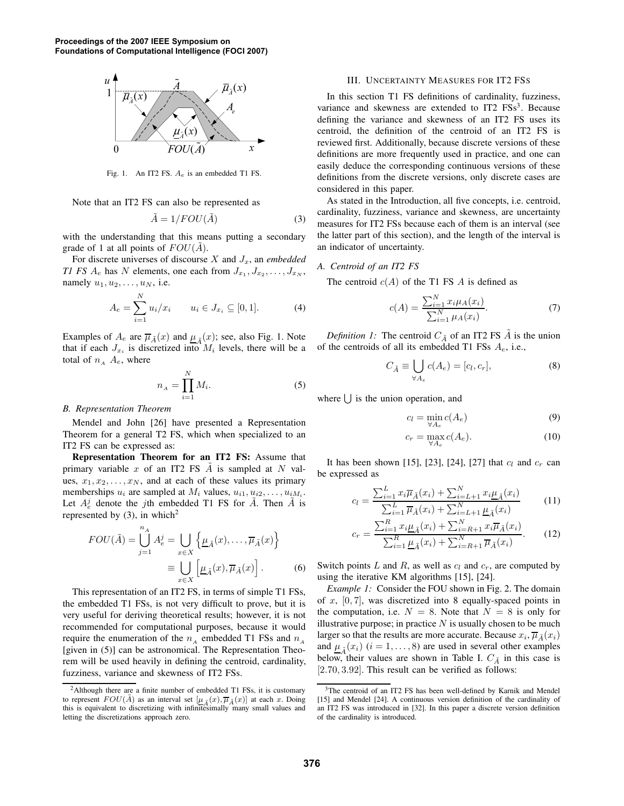

Fig. 1. An IT2 FS. *<sup>A</sup><sup>e</sup>* is an embedded T1 FS.

Note that an IT2 FS can also be represented as

$$
\tilde{A} = 1/FOU(\tilde{A})\tag{3}
$$

with the understanding that this means putting a secondary grade of 1 at all points of  $FOU(\tilde{A})$ .

For discrete universes of discourse X and J*x*, an *embedded T1 FS*  $A_e$  has N elements, one each from  $J_{x_1}, J_{x_2}, \ldots, J_{x_N}$ , namely  $u_1, u_2, \ldots, u_N$ , i.e.

$$
A_e = \sum_{i=1}^{N} u_i / x_i \qquad u_i \in J_{x_i} \subseteq [0, 1]. \tag{4}
$$

Examples of  $A_e$  are  $\overline{\mu}_{\tilde{A}}(x)$  and  $\underline{\mu}_{\tilde{A}}(x)$ ; see, also Fig. 1. Note that if each  $J_{x_i}$  is discretized into  $M_i$  levels, there will be a total of  $n_A$   $A_e$ , where

$$
n_A = \prod_{i=1}^{N} M_i.
$$
 (5)

## *B. Representation Theorem*

Mendel and John [26] have presented a Representation Theorem for a general T2 FS, which when specialized to an IT2 FS can be expressed as:

Representation Theorem for an IT2 FS: Assume that primary variable x of an IT2 FS  $\tilde{A}$  is sampled at N values,  $x_1, x_2, \ldots, x_N$ , and at each of these values its primary memberships  $u_i$  are sampled at  $M_i$  values,  $u_{i1}, u_{i2}, \ldots, u_{iM_i}$ . Let  $A_e^j$  denote the *j*th embedded T1 FS for  $\tilde{A}$ . Then  $\tilde{A}$  is represented by  $(3)$ , in which<sup>2</sup>

$$
FOU(\tilde{A}) = \bigcup_{j=1}^{n_A} A_e^j = \bigcup_{x \in X} \left\{ \underline{\mu}_{\tilde{A}}(x), \dots, \overline{\mu}_{\tilde{A}}(x) \right\}
$$

$$
\equiv \bigcup_{x \in X} \left[ \underline{\mu}_{\tilde{A}}(x), \overline{\mu}_{\tilde{A}}(x) \right].
$$
 (6)

This representation of an IT2 FS, in terms of simple T1 FSs, the embedded T1 FSs, is not very difficult to prove, but it is very useful for deriving theoretical results; however, it is not recommended for computational purposes, because it would require the enumeration of the  $n_A$  embedded T1 FSs and  $n_A$ [given in (5)] can be astronomical. The Representation Theorem will be used heavily in defining the centroid, cardinality, fuzziness, variance and skewness of IT2 FSs.

## III. UNCERTAINTY MEASURES FOR IT2 FSS

In this section T1 FS definitions of cardinality, fuzziness, variance and skewness are extended to IT2 FSs<sup>3</sup>. Because defining the variance and skewness of an IT2 FS uses its centroid, the definition of the centroid of an IT2 FS is reviewed first. Additionally, because discrete versions of these definitions are more frequently used in practice, and one can easily deduce the corresponding continuous versions of these definitions from the discrete versions, only discrete cases are considered in this paper.

As stated in the Introduction, all five concepts, i.e. centroid, cardinality, fuzziness, variance and skewness, are uncertainty measures for IT2 FSs because each of them is an interval (see the latter part of this section), and the length of the interval is an indicator of uncertainty.

## *A. Centroid of an IT2 FS*

The centroid  $c(A)$  of the T1 FS A is defined as

$$
c(A) = \frac{\sum_{i=1}^{N} x_i \mu_A(x_i)}{\sum_{i=1}^{N} \mu_A(x_i)}.
$$
 (7)

*Definition 1:* The centroid  $C_{\tilde{A}}$  of an IT2 FS  $\tilde{A}$  is the union of the centroids of all its embedded T1 FSs A*e*, i.e.,

$$
C_{\tilde{A}} \equiv \bigcup_{\forall A_e} c(A_e) = [c_l, c_r], \tag{8}
$$

where  $\bigcup$  is the union operation, and

$$
c_l = \min_{\forall A_e} c(A_e) \tag{9}
$$

$$
c_r = \max_{\forall A_e} c(A_e). \tag{10}
$$

It has been shown [15], [23], [24], [27] that  $c_l$  and  $c_r$  can be expressed as

$$
c_{l} = \frac{\sum_{i=1}^{L} x_{i} \overline{\mu}_{\tilde{A}}(x_{i}) + \sum_{i=L+1}^{N} x_{i} \underline{\mu}_{\tilde{A}}(x_{i})}{\sum_{i=1}^{L} \overline{\mu}_{\tilde{A}}(x_{i}) + \sum_{i=L+1}^{N} \underline{\mu}_{\tilde{A}}(x_{i})}
$$
(11)

$$
c_r = \frac{\sum_{i=1}^{R} x_i \underline{\mu}_{\tilde{A}}(x_i) + \sum_{i=R+1}^{N} x_i \overline{\mu}_{\tilde{A}}(x_i)}{\sum_{i=1}^{R} \underline{\mu}_{\tilde{A}}(x_i) + \sum_{i=R+1}^{N} \overline{\mu}_{\tilde{A}}(x_i)}.
$$
 (12)

Switch points  $L$  and  $R$ , as well as  $c_l$  and  $c_r$ , are computed by using the iterative KM algorithms [15], [24].

*Example 1:* Consider the FOU shown in Fig. 2. The domain of  $x$ ,  $[0, 7]$ , was discretized into 8 equally-spaced points in the computation, i.e.  $N = 8$ . Note that  $N = 8$  is only for illustrative purpose; in practice  $N$  is usually chosen to be much larger so that the results are more accurate. Because  $x_i$ ,  $\overline{\mu}_{\tilde{A}}(x_i)$ and  $\mu_{\tilde{\Lambda}}(x_i)$  ( $i = 1, \ldots, 8$ ) are used in several other examples below, their values are shown in Table I.  $C_{\tilde{A}}$  in this case is [2.70, 3.92]. This result can be verified as follows:

<sup>2</sup>Although there are a finite number of embedded T1 FSs, it is customary to represent  $FOU(\tilde{A})$  as an interval set  $[\mu_{\tilde{A}}(x), \overline{\mu}_{\tilde{A}}(x)]$  at each *x*. Doing this is equivalent to discretizing with infinitesimally many small values and letting the discretizations approach zero.

<sup>&</sup>lt;sup>3</sup>The centroid of an IT2 FS has been well-defined by Karnik and Mendel [15] and Mendel [24]. A continuous version definition of the cardinality of an IT2 FS was introduced in [32]. In this paper a discrete version definition of the cardinality is introduced.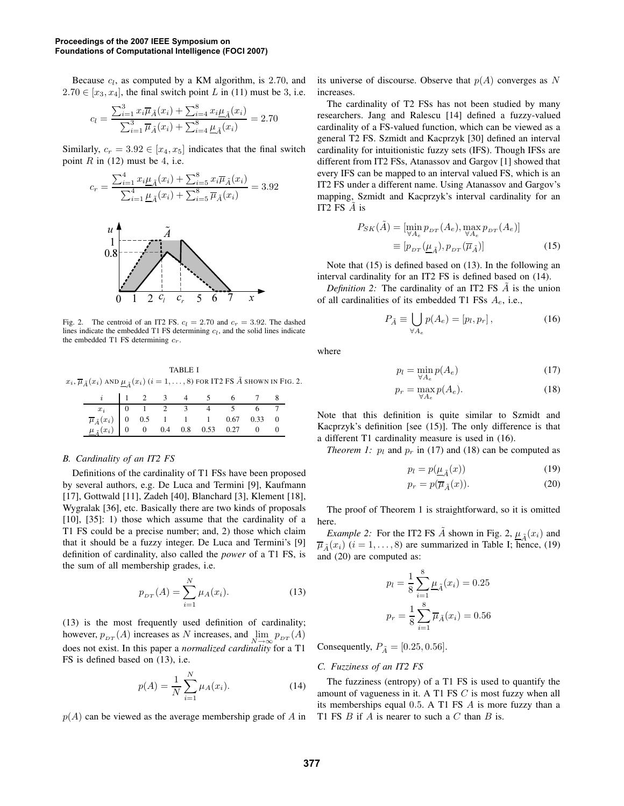Because c*l*, as computed by a KM algorithm, is 2.70, and  $2.70 \in [x_3, x_4]$ , the final switch point L in (11) must be 3, i.e.

$$
c_l = \frac{\sum_{i=1}^{3} x_i \overline{\mu}_{\tilde{A}}(x_i) + \sum_{i=4}^{8} x_i \underline{\mu}_{\tilde{A}}(x_i)}{\sum_{i=1}^{3} \overline{\mu}_{\tilde{A}}(x_i) + \sum_{i=4}^{8} \underline{\mu}_{\tilde{A}}(x_i)} = 2.70
$$

Similarly,  $c_r = 3.92 \in [x_4, x_5]$  indicates that the final switch point  $R$  in (12) must be 4, i.e.

$$
c_r = \frac{\sum_{i=1}^{4} x_i \underline{\mu}_{\tilde{A}}(x_i) + \sum_{i=5}^{8} x_i \overline{\mu}_{\tilde{A}}(x_i)}{\sum_{i=1}^{4} \underline{\mu}_{\tilde{A}}(x_i) + \sum_{i=5}^{8} \overline{\mu}_{\tilde{A}}(x_i)} = 3.92
$$
  

$$
u \leftarrow \tilde{A}
$$



Fig. 2. The centroid of an IT2 FS.  $c_l = 2.70$  and  $c_r = 3.92$ . The dashed lines indicate the embedded T1 FS determining  $c_l$  and the solid lines indicate lines indicate the embedded T1 FS determining  $c_l$ , and the solid lines indicate the embedded T1 FS determining  $c_r$ the embedded T1 FS determining *<sup>c</sup>r*.

TABLE I  $x_i$ ,  $\overline{\mu}_{\tilde{A}}(x_i)$  and  $\mu_{\tilde{A}}(x_i)$  ( $i = 1, \ldots, 8$ ) for IT2 FS  $\tilde{A}$  shown in Fig. 2.

| $\begin{array}{c ccccccccc} x_i & 0 & 1 & 2 & 3 & 4 & 5 & 6 & 7 \\ \hline \overline{\mu}_{\tilde{A}}(x_i) & 0 & 0.5 & 1 & 1 & 1 & 0.67 & 0.33 & 0 \\ \underline{\mu}_{\tilde{A}}(x_i) & 0 & 0 & 0.4 & 0.8 & 0.53 & 0.27 & 0 & 0 \\ \end{array}$ |  |  |  |  |
|-------------------------------------------------------------------------------------------------------------------------------------------------------------------------------------------------------------------------------------------------|--|--|--|--|
|                                                                                                                                                                                                                                                 |  |  |  |  |

## *B. Cardinality of an IT2 FS*

Definitions of the cardinality of T1 FSs have been proposed by several authors, e.g. De Luca and Termini [9], Kaufmann [17], Gottwald [11], Zadeh [40], Blanchard [3], Klement [18], Wygralak [36], etc. Basically there are two kinds of proposals [10], [35]: 1) those which assume that the cardinality of a T1 FS could be a precise number; and, 2) those which claim that it should be a fuzzy integer. De Luca and Termini's [9] definition of cardinality, also called the *power* of a T1 FS, is the sum of all membership grades, i.e.

$$
p_{DT}(A) = \sum_{i=1}^{N} \mu_A(x_i).
$$
 (13)

(13) is the most frequently used definition of cardinality; however,  $p_{DT}(A)$  increases as N increases, and  $\lim_{N \to \infty} p_{DT}(A)$ does not exist. In this paper a *normalized cardinality* for a T1 FS is defined based on (13), i.e.

$$
p(A) = \frac{1}{N} \sum_{i=1}^{N} \mu_A(x_i).
$$
 (14)

 $p(A)$  can be viewed as the average membership grade of A in

its universe of discourse. Observe that  $p(A)$  converges as N increases.

The cardinality of T2 FSs has not been studied by many researchers. Jang and Ralescu [14] defined a fuzzy-valued cardinality of a FS-valued function, which can be viewed as a general T2 FS. Szmidt and Kacprzyk [30] defined an interval cardinality for intuitionistic fuzzy sets (IFS). Though IFSs are different from IT2 FSs, Atanassov and Gargov [1] showed that every IFS can be mapped to an interval valued FS, which is an IT2 FS under a different name. Using Atanassov and Gargov's mapping, Szmidt and Kacprzyk's interval cardinality for an IT2 FS  $\ddot{A}$  is

$$
P_{SK}(\tilde{A}) = \left[\min_{\forall A_e} p_{DT}(A_e), \max_{\forall A_e} p_{DT}(A_e)\right]
$$

$$
\equiv \left[p_{DT}(\underline{\mu}_{\tilde{A}}), p_{DT}(\overline{\mu}_{\tilde{A}})\right]
$$
(15)

Note that (15) is defined based on (13). In the following an interval cardinality for an IT2 FS is defined based on (14).

*Definition 2:* The cardinality of an IT2 FS  $\tilde{A}$  is the union of all cardinalities of its embedded T1 FSs A*e*, i.e.,

$$
P_{\tilde{A}} \equiv \bigcup_{\forall A_e} p(A_e) = [p_l, p_r], \qquad (16)
$$

where

$$
p_l = \min_{\forall A_e} p(A_e) \tag{17}
$$

$$
p_r = \max_{\forall A_e} p(A_e). \tag{18}
$$

Note that this definition is quite similar to Szmidt and Kacprzyk's definition [see (15)]. The only difference is that a different T1 cardinality measure is used in (16).

*Theorem 1:*  $p_l$  and  $p_r$  in (17) and (18) can be computed as

$$
p_l = p(\underline{\mu}_{\tilde{A}}(x))\tag{19}
$$

$$
p_r = p(\overline{\mu}_{\tilde{A}}(x)).\tag{20}
$$

The proof of Theorem 1 is straightforward, so it is omitted here.

*Example 2:* For the IT2 FS  $\ddot{A}$  shown in Fig. 2,  $\mu_{\tilde{A}}(x_i)$  and  $\overline{\mu}_{\tilde{A}}(x_i)$  ( $i = 1, \ldots, 8$ ) are summarized in Table I; hence, (19) and (20) are computed as:

$$
p_l = \frac{1}{8} \sum_{i=1}^{8} \underline{\mu}_{\tilde{A}}(x_i) = 0.25
$$

$$
p_r = \frac{1}{8} \sum_{i=1}^{8} \overline{\mu}_{\tilde{A}}(x_i) = 0.56
$$

Consequently,  $P_{\tilde{A}} = [0.25, 0.56]$ .

## *C. Fuzziness of an IT2 FS*

The fuzziness (entropy) of a T1 FS is used to quantify the amount of vagueness in it. A T1 FS C is most fuzzy when all its memberships equal  $0.5$ . A T1 FS  $\Lambda$  is more fuzzy than a T1 FS  $B$  if  $A$  is nearer to such a  $C$  than  $B$  is.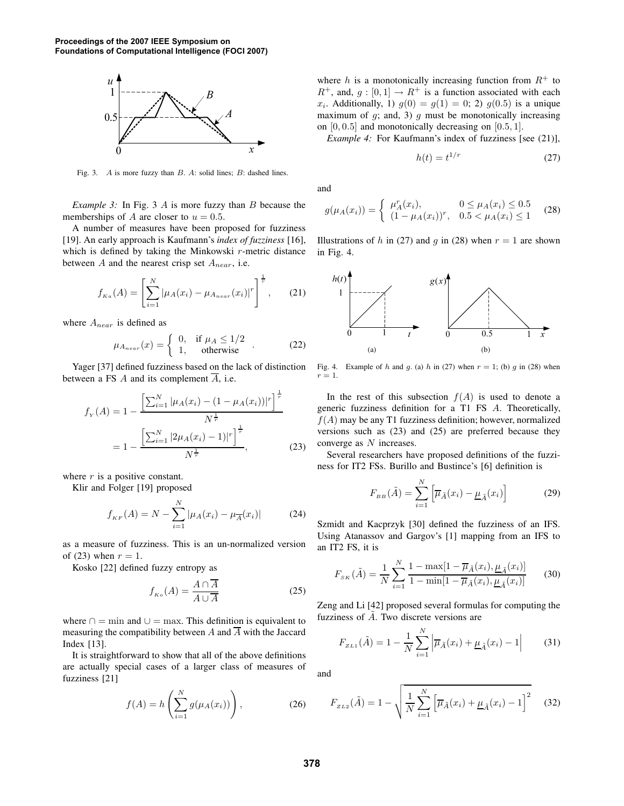

Fig. 3. *A* is more fuzzy than *B*. *A*: solid lines; *B*: dashed lines.

*Example 3:* In Fig. 3 A is more fuzzy than B because the memberships of A are closer to  $u = 0.5$ .

A number of measures have been proposed for fuzziness [19]. An early approach is Kaufmann's *index of fuzziness* [16], which is defined by taking the Minkowski  $r$ -metric distance between A and the nearest crisp set A*near*, i.e.

$$
f_{Ka}(A) = \left[\sum_{i=1}^{N} |\mu_A(x_i) - \mu_{A_{near}}(x_i)|^r\right]^{\frac{1}{r}},
$$
 (21)

where A*near* is defined as

$$
\mu_{A_{near}}(x) = \begin{cases} 0, & \text{if } \mu_A \le 1/2 \\ 1, & \text{otherwise} \end{cases} . \tag{22}
$$

Yager [37] defined fuzziness based on the lack of distinction between a FS A and its complement A, i.e.

$$
f_{Y}(A) = 1 - \frac{\left[\sum_{i=1}^{N} |\mu_{A}(x_{i}) - (1 - \mu_{A}(x_{i}))|^{r}\right]^{\frac{1}{r}}}{N^{\frac{1}{r}}}
$$

$$
= 1 - \frac{\left[\sum_{i=1}^{N} |2\mu_{A}(x_{i}) - 1)|^{r}\right]^{\frac{1}{r}}}{N^{\frac{1}{r}}},
$$
(23)

where  $r$  is a positive constant.

Klir and Folger [19] proposed

$$
f_{_{KF}}(A) = N - \sum_{i=1}^{N} |\mu_A(x_i) - \mu_{\overline{A}}(x_i)|
$$
 (24)

as a measure of fuzziness. This is an un-normalized version of (23) when  $r = 1$ .

Kosko [22] defined fuzzy entropy as

$$
f_{K_o}(A) = \frac{A \cap \overline{A}}{A \cup \overline{A}}
$$
 (25)

where  $\cap = \min$  and  $\cup = \max$ . This definition is equivalent to measuring the compatibility between  $A$  and  $\overline{A}$  with the Jaccard Index [13].

It is straightforward to show that all of the above definitions are actually special cases of a larger class of measures of fuzziness [21]

$$
f(A) = h\left(\sum_{i=1}^{N} g(\mu_A(x_i))\right),\tag{26}
$$

where h is a monotonically increasing function from  $R^+$  to  $R^+$ , and,  $g : [0, 1] \rightarrow R^+$  is a function associated with each  $x_i$ . Additionally, 1)  $g(0) = g(1) = 0$ ; 2)  $g(0.5)$  is a unique maximum of  $q$ ; and, 3)  $q$  must be monotonically increasing on  $[0, 0.5]$  and monotonically decreasing on  $[0.5, 1]$ .

*Example 4:* For Kaufmann's index of fuzziness [see (21)],

$$
h(t) = t^{1/r} \tag{27}
$$

and

$$
g(\mu_A(x_i)) = \begin{cases} \mu_A^r(x_i), & 0 \le \mu_A(x_i) \le 0.5 \\ (1 - \mu_A(x_i))^r, & 0.5 < \mu_A(x_i) \le 1 \end{cases}
$$
 (28)

Illustrations of h in (27) and g in (28) when  $r = 1$  are shown in Fig. 4.



Fig. 4. Example of *h* and *g*. (a) *h* in (27) when  $r = 1$ ; (b) *g* in (28) when  $r=1$ .

In the rest of this subsection  $f(A)$  is used to denote a generic fuzziness definition for a T1 FS A. Theoretically,  $f(A)$  may be any T1 fuzziness definition; however, normalized versions such as (23) and (25) are preferred because they converge as N increases.

Several researchers have proposed definitions of the fuzziness for IT2 FSs. Burillo and Bustince's [6] definition is

$$
F_{BB}(\tilde{A}) = \sum_{i=1}^{N} \left[ \overline{\mu}_{\tilde{A}}(x_i) - \underline{\mu}_{\tilde{A}}(x_i) \right]
$$
(29)

Szmidt and Kacprzyk [30] defined the fuzziness of an IFS. Using Atanassov and Gargov's [1] mapping from an IFS to an IT2 FS, it is

$$
F_{SK}(\tilde{A}) = \frac{1}{N} \sum_{i=1}^{N} \frac{1 - \max[1 - \overline{\mu}_{\tilde{A}}(x_i), \underline{\mu}_{\tilde{A}}(x_i)]}{1 - \min[1 - \overline{\mu}_{\tilde{A}}(x_i), \underline{\mu}_{\tilde{A}}(x_i)]}
$$
(30)

Zeng and Li [42] proposed several formulas for computing the fuzziness of  $\ddot{A}$ . Two discrete versions are

$$
F_{ZL1}(\tilde{A}) = 1 - \frac{1}{N} \sum_{i=1}^{N} \left| \overline{\mu}_{\tilde{A}}(x_i) + \underline{\mu}_{\tilde{A}}(x_i) - 1 \right| \tag{31}
$$

and

$$
F_{ZL2}(\tilde{A}) = 1 - \sqrt{\frac{1}{N} \sum_{i=1}^{N} \left[ \overline{\mu}_{\tilde{A}}(x_i) + \underline{\mu}_{\tilde{A}}(x_i) - 1 \right]^2}
$$
(32)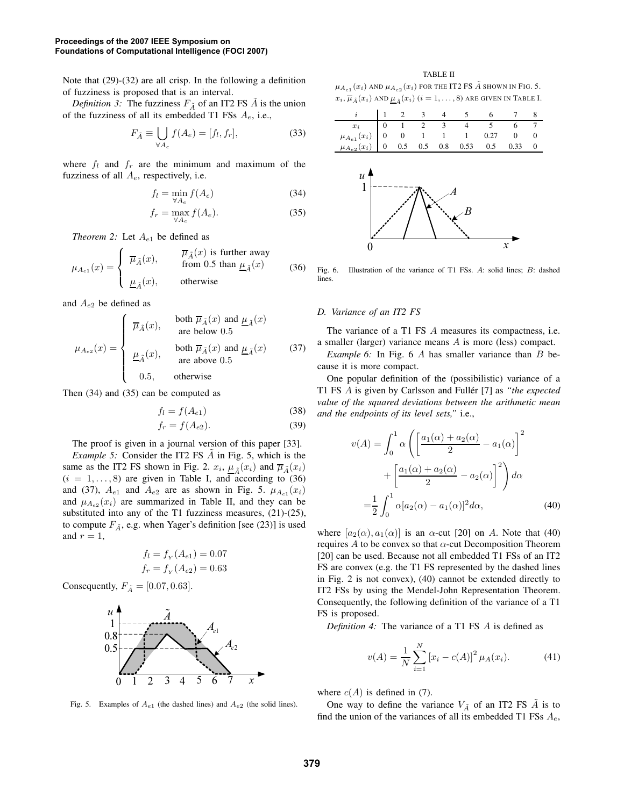Note that (29)-(32) are all crisp. In the following a definition of fuzziness is proposed that is an interval.

*Definition 3:* The fuzziness  $F_{\tilde{A}}$  of an IT2 FS A is the union of the fuzziness of all its embedded T1 FSs A*e*, i.e.,

$$
F_{\tilde{A}} \equiv \bigcup_{\forall A_e} f(A_e) = [f_l, f_r],\tag{33}
$$

where  $f_l$  and  $f_r$  are the minimum and maximum of the fuzziness of all A*e*, respectively, i.e.

$$
f_l = \min_{\forall A_e} f(A_e) \tag{34}
$$

$$
f_r = \max_{\forall A_e} f(A_e). \tag{35}
$$

*Theorem 2:* Let  $A_{e1}$  be defined as

$$
\mu_{A_{e1}}(x) = \begin{cases} \overline{\mu}_{\tilde{A}}(x), & \overline{\mu}_{\tilde{A}}(x) \text{ is further away} \\ \text{from 0.5 than } \underline{\mu}_{\tilde{A}}(x) \\ \underline{\mu}_{\tilde{A}}(x), & \text{otherwise} \end{cases}
$$
(36)

and A*e*<sup>2</sup> be defined as

$$
\mu_{A_{e2}}(x) = \begin{cases}\n\overline{\mu}_{\tilde{A}}(x), & \text{both } \overline{\mu}_{\tilde{A}}(x) \text{ and } \underline{\mu}_{\tilde{A}}(x) \\
\text{are below } 0.5 \\
\overline{\mu}_{\tilde{A}}(x), & \text{both } \overline{\mu}_{\tilde{A}}(x) \text{ and } \underline{\mu}_{\tilde{A}}(x) \\
\frac{\mu_{\tilde{A}}(x)}{0.5, & \text{otherwise}\n\end{cases}
$$
\n(37)

Then (34) and (35) can be computed as

$$
f_l = f(A_{e1}) \tag{38}
$$

$$
f_r = f(A_{e2}).\tag{39}
$$

The proof is given in a journal version of this paper [33]. *Example 5:* Consider the IT2 FS A in Fig. 5, which is the same as the IT2 FS shown in Fig. 2.  $x_i$ ,  $\mu_{\tilde{A}}(x_i)$  and  $\overline{\mu}_{\tilde{A}}(x_i)$  $(i = 1, \ldots, 8)$  are given in Table I, and according to (36) and (37),  $A_{e1}$  and  $A_{e2}$  are as shown in Fig. 5.  $\mu_{A_{e1}}(x_i)$ and  $\mu_{A_{\alpha2}}(x_i)$  are summarized in Table II, and they can be substituted into any of the T1 fuzziness measures, (21)-(25), to compute  $F_{\tilde{A}}$ , e.g. when Yager's definition [see (23)] is used and  $r = 1$ ,

$$
f_l = f_Y(A_{e1}) = 0.07
$$
  

$$
f_r = f_Y(A_{e2}) = 0.63
$$
  

$$
= [0.07, 0.63].
$$
  

$$
\tilde{A}
$$

Consequently,  $F_{\tilde{A}} = [0.07, 0.63]$ .



Fig. 5. Examples of  $A_{e1}$  (the dashed lines) and  $A_{e2}$  (the solid lines).

TABLE II  $\mu_{A_{e1}}(x_i)$  and  $\mu_{A_{e2}}(x_i)$  for the IT2 FS  $\tilde{A}$  shown in Fig. 5.  $x_i$ ,  $\overline{\mu}_{\tilde{A}}(x_i)$  and  $\underline{\mu}_{\tilde{A}}(x_i)$  ( $i = 1, \ldots, 8$ ) are given in Table I.

| $\begin{array}{cccccccccccccc} i & & 1 & 2 & 3 & 4 & 5 & 6 & 7 & 8 \end{array}$                                                                                                                                                                                   |  |  |  |  |
|-------------------------------------------------------------------------------------------------------------------------------------------------------------------------------------------------------------------------------------------------------------------|--|--|--|--|
|                                                                                                                                                                                                                                                                   |  |  |  |  |
|                                                                                                                                                                                                                                                                   |  |  |  |  |
| $\begin{tabular}{c cccccc} $x_i$ & $0$ & $1$ & $2$ & $3$ & $4$ & $5$ & $6$ & $7$ \\ $\mu_{A_{e1}}(x_i)$ & $0$ & $0$ & $1$ & $1$ & $1$ & $0.27$ & $0$ & $0$ \\ $\mu_{A_{e2}}(x_i)$ & $0$ & $0.5$ & $0.5$ & $0.8$ & $0.53$ & $0.5$ & $0.33$ & $0$ \\ \end{tabular}$ |  |  |  |  |
|                                                                                                                                                                                                                                                                   |  |  |  |  |



Fig. 6. Illustration of the variance of T1 FSs. *A*: solid lines; *B*: dashed lines.

# *D. Variance of an IT2 FS*

The variance of a T1 FS A measures its compactness, i.e. a smaller (larger) variance means A is more (less) compact.

*Example 6:* In Fig. 6 A has smaller variance than B because it is more compact.

One popular definition of the (possibilistic) variance of a T1 FS A is given by Carlsson and Fullér [7] as "the expected *value of the squared deviations between the arithmetic mean and the endpoints of its level sets,"* i.e.,

$$
v(A) = \int_0^1 \alpha \left( \left[ \frac{a_1(\alpha) + a_2(\alpha)}{2} - a_1(\alpha) \right]^2 + \left[ \frac{a_1(\alpha) + a_2(\alpha)}{2} - a_2(\alpha) \right]^2 \right) d\alpha
$$

$$
= \frac{1}{2} \int_0^1 \alpha [a_2(\alpha) - a_1(\alpha)]^2 d\alpha, \tag{40}
$$

where  $[a_2(\alpha), a_1(\alpha)]$  is an  $\alpha$ -cut [20] on A. Note that (40) requires A to be convex so that  $\alpha$ -cut Decomposition Theorem [20] can be used. Because not all embedded T1 FSs of an IT2 FS are convex (e.g. the T1 FS represented by the dashed lines in Fig. 2 is not convex), (40) cannot be extended directly to IT2 FSs by using the Mendel-John Representation Theorem. Consequently, the following definition of the variance of a T1 FS is proposed.

*Definition 4:* The variance of a T1 FS A is defined as

$$
v(A) = \frac{1}{N} \sum_{i=1}^{N} \left[ x_i - c(A) \right]^2 \mu_A(x_i).
$$
 (41)

where  $c(A)$  is defined in (7).

One way to define the variance  $V_{\tilde{A}}$  of an IT2 FS  $\tilde{A}$  is to find the union of the variances of all its embedded T1 FSs A*e*,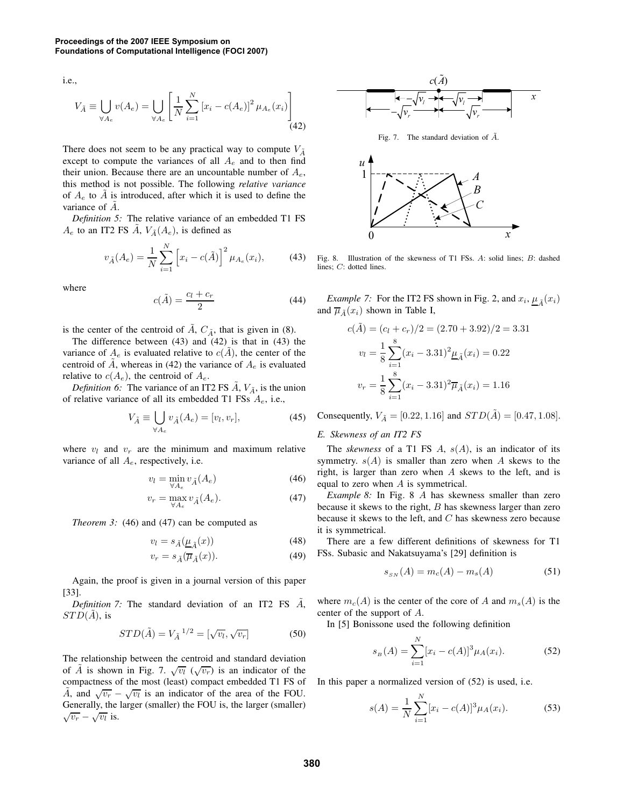i.e.,

$$
V_{\tilde{A}} \equiv \bigcup_{\forall A_e} v(A_e) = \bigcup_{\forall A_e} \left[ \frac{1}{N} \sum_{i=1}^N \left[ x_i - c(A_e) \right]^2 \mu_{A_e}(x_i) \right] \tag{42}
$$

There does not seem to be any practical way to compute  $V_{\tilde{A}}$ except to compute the variances of all A*<sup>e</sup>* and to then find their union. Because there are an uncountable number of A*e*, this method is not possible. The following *relative variance* of  $A_e$  to  $A$  is introduced, after which it is used to define the variance of  $\tilde{A}$ .

*Definition 5:* The relative variance of an embedded T1 FS  $A_e$  to an IT2 FS  $\ddot{A}$ ,  $V_{\tilde{A}}(A_e)$ , is defined as

$$
v_{\tilde{A}}(A_e) = \frac{1}{N} \sum_{i=1}^{N} \left[ x_i - c(\tilde{A}) \right]^2 \mu_{A_e}(x_i), \tag{43}
$$

where

$$
c(\tilde{A}) = \frac{c_l + c_r}{2} \tag{44}
$$

is the center of the centroid of  $\tilde{A}$ ,  $C_{\tilde{A}}$ , that is given in (8).

The difference between (43) and (42) is that in (43) the variance of  $A_e$  is evaluated relative to  $c(A)$ , the center of the centroid of A, whereas in (42) the variance of  $A_e$  is evaluated relative to  $c(A_e)$ , the centroid of  $A_e$ .

*Definition 6:* The variance of an IT2 FS  $\tilde{A}$ ,  $V_{\tilde{A}}$ , is the union of relative variance of all its embedded T1 FSs A*e*, i.e.,

$$
V_{\tilde{A}} \equiv \bigcup_{\forall A_e} v_{\tilde{A}}(A_e) = [v_l, v_r], \tag{45}
$$

where  $v_l$  and  $v_r$  are the minimum and maximum relative variance of all A*e*, respectively, i.e.

$$
v_l = \min_{\forall A_e} v_{\tilde{A}}(A_e) \tag{46}
$$

$$
v_r = \max_{\forall A_e} v_{\tilde{A}}(A_e). \tag{47}
$$

*Theorem 3:* (46) and (47) can be computed as

$$
v_l = s_{\tilde{A}}(\underline{\mu}_{\tilde{A}}(x))
$$
\n(48)

$$
v_r = s_{\tilde{A}}(\overline{\mu}_{\tilde{A}}(x)). \tag{49}
$$

Again, the proof is given in a journal version of this paper [33].

*Definition 7:* The standard deviation of an IT2 FS  $\tilde{A}$ ,  $STD(A)$ , is

$$
STD(\tilde{A}) = V_{\tilde{A}}^{-1/2} = [\sqrt{v_l}, \sqrt{v_r}]
$$
\n(50)

The relationship between the centroid and standard deviation of  $\tilde{A}$  is shown in Fig. 7.  $\sqrt{v_l}$  ( $\sqrt{v_r}$ ) is an indicator of the compactness of the most (least) compact embedded T1 FS of  $\tilde{A}$ , and  $\sqrt{v_r} - \sqrt{v_l}$  is an indicator of the area of the FOU. Generally, the larger (smaller) the FOU is, the larger (smaller)  $\sqrt{v_r} - \sqrt{v_l}$  is.





Fig. 8. Illustration of the skewness of T1 FSs. *A*: solid lines; *B*: dashed lines; *C*: dotted lines.

*Example 7:* For the IT2 FS shown in Fig. 2, and  $x_i$ ,  $\mu_{\tilde{A}}(x_i)$ and  $\overline{\mu}_{\tilde{A}}(x_i)$  shown in Table I,

$$
c(\tilde{A}) = (c_l + c_r)/2 = (2.70 + 3.92)/2 = 3.31
$$

$$
v_l = \frac{1}{8} \sum_{i=1}^{8} (x_i - 3.31)^2 \underline{\mu}_{\tilde{A}}(x_i) = 0.22
$$

$$
v_r = \frac{1}{8} \sum_{i=1}^{8} (x_i - 3.31)^2 \overline{\mu}_{\tilde{A}}(x_i) = 1.16
$$

Consequently,  $V_{\tilde{A}} = [0.22, 1.16]$  and  $STD(\tilde{A}) = [0.47, 1.08]$ .

# *E. Skewness of an IT2 FS*

The *skewness* of a T1 FS  $A$ ,  $s(A)$ , is an indicator of its symmetry.  $s(A)$  is smaller than zero when A skews to the right, is larger than zero when  $A$  skews to the left, and is equal to zero when A is symmetrical.

*Example 8:* In Fig. 8 A has skewness smaller than zero because it skews to the right,  $B$  has skewness larger than zero because it skews to the left, and C has skewness zero because it is symmetrical.

There are a few different definitions of skewness for T1 FSs. Subasic and Nakatsuyama's [29] definition is

$$
s_{_{SN}}(A) = m_c(A) - m_s(A) \tag{51}
$$

where  $m_c(A)$  is the center of the core of A and  $m_s(A)$  is the center of the support of A.

In [5] Bonissone used the following definition

$$
s_B(A) = \sum_{i=1}^{N} [x_i - c(A)]^3 \mu_A(x_i).
$$
 (52)

In this paper a normalized version of (52) is used, i.e.

$$
s(A) = \frac{1}{N} \sum_{i=1}^{N} [x_i - c(A)]^3 \mu_A(x_i).
$$
 (53)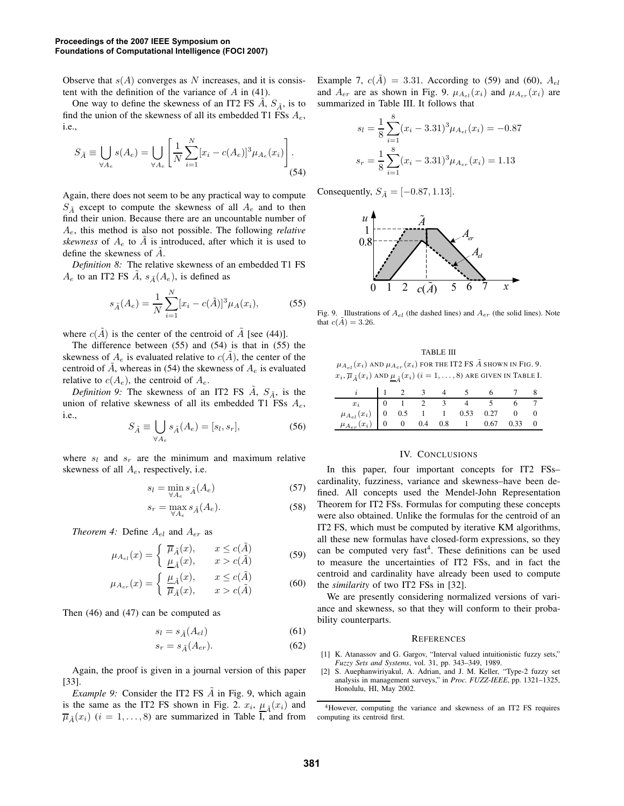Observe that  $s(A)$  converges as N increases, and it is consistent with the definition of the variance of  $A$  in (41).

One way to define the skewness of an IT2 FS  $A$ ,  $S_{\tilde{A}}$ , is to find the union of the skewness of all its embedded T1 FSs A*e*, i.e.,

$$
S_{\tilde{A}} \equiv \bigcup_{\forall A_e} s(A_e) = \bigcup_{\forall A_e} \left[ \frac{1}{N} \sum_{i=1}^N [x_i - c(A_e)]^3 \mu_{A_e}(x_i) \right].
$$
 (54)

Again, there does not seem to be any practical way to compute  $S_{\tilde{A}}$  except to compute the skewness of all  $A_e$  and to then find their union. Because there are an uncountable number of A*e*, this method is also not possible. The following *relative skewness* of  $A_e$  to  $A$  is introduced, after which it is used to define the skewness of  $\tilde{A}$ .

*Definition 8:* The relative skewness of an embedded T1 FS  $A_e$  to an IT2 FS A,  $s_{\tilde{A}}(A_e)$ , is defined as

$$
s_{\tilde{A}}(A_e) = \frac{1}{N} \sum_{i=1}^{N} [x_i - c(\tilde{A})]^3 \mu_A(x_i), \tag{55}
$$

where  $c(\tilde{A})$  is the center of the centroid of  $\tilde{A}$  [see (44)].

The difference between (55) and (54) is that in (55) the skewness of  $A_e$  is evaluated relative to  $c(\tilde{A})$ , the center of the centroid of  $\tilde{A}$ , whereas in (54) the skewness of  $A_e$  is evaluated relative to  $c(A_e)$ , the centroid of  $A_e$ .

*Definition 9:* The skewness of an IT2 FS  $\tilde{A}$ ,  $S_{\tilde{A}}$ , is the union of relative skewness of all its embedded T1 FSs A*e*, i.e.,

$$
S_{\tilde{A}} \equiv \bigcup_{\forall A_e} s_{\tilde{A}}(A_e) = [s_l, s_r], \tag{56}
$$

where  $s_l$  and  $s_r$  are the minimum and maximum relative skewness of all A*e*, respectively, i.e.

$$
s_l = \min_{\forall A_e} s_{\tilde{A}}(A_e) \tag{57}
$$

$$
s_r = \max_{\forall A_e} s_{\tilde{A}}(A_e). \tag{58}
$$

*Theorem 4:* Define A*el* and A*er* as

$$
\mu_{A_{el}}(x) = \begin{cases} \overline{\mu}_{\tilde{A}}(x), & x \le c(\tilde{A}) \\ \underline{\mu}_{\tilde{A}}(x), & x > c(\tilde{A}) \end{cases}
$$
 (59)

$$
\mu_{A_{er}}(x) = \begin{cases} \frac{\mu_{\tilde{A}}(x)}{\overline{\mu}_{\tilde{A}}(x)}, & x \le c(\tilde{A}) \\ \overline{\mu}_{\tilde{A}}(x), & x > c(\tilde{A}) \end{cases}
$$
 (60)

Then (46) and (47) can be computed as

$$
s_l = s_{\tilde{A}}(A_{el}) \tag{61}
$$

$$
s_r = s_{\tilde{A}}(A_{er}).\tag{62}
$$

Again, the proof is given in a journal version of this paper [33].

*Example 9:* Consider the IT2 FS  $\tilde{A}$  in Fig. 9, which again is the same as the IT2 FS shown in Fig. 2.  $x_i$ ,  $\mu_{\tilde{A}}(x_i)$  and  $\overline{\mu}_{\tilde{A}}(x_i)$  ( $i = 1, \ldots, 8$ ) are summarized in Table I, and from Example 7,  $c(A) = 3.31$ . According to (59) and (60),  $A_{el}$ and  $A_{er}$  are as shown in Fig. 9.  $\mu_{A_{el}}(x_i)$  and  $\mu_{A_{er}}(x_i)$  are summarized in Table III. It follows that

$$
s_l = \frac{1}{8} \sum_{i=1}^{8} (x_i - 3.31)^3 \mu_{A_{el}}(x_i) = -0.87
$$
  
\n
$$
s_r = \frac{1}{8} \sum_{i=1}^{8} (x_i - 3.31)^3 \mu_{A_{er}}(x_i) = 1.13
$$
  
\nently,  $S_{\tilde{A}} = [-0.87, 1.13]$ .  
\n $u \uparrow \tilde{A}$ 

Consequently,  $S_{\tilde{A}} = [-0.87, 1.13]$ .



Fig. 9. Illustrations of *<sup>A</sup>el* (the dashed lines) and *<sup>A</sup>er* (the solid lines). Note that  $c(\tilde{A})=3.26$ .

#### TABLE III

 $\mu_{A_{el}}(x_i)$  and  $\mu_{A_{er}}(x_i)$  for the IT2 FS  $\tilde{A}$  shown in Fig. 9.  $x_i$ ,  $\overline{\mu}_{\tilde{A}}(x_i)$  and  $\underline{\mu}_{\tilde{A}}(x_i)$  ( $i = 1, \ldots, 8$ ) are given in Table I.

| $\begin{tabular}{ cccccccccccc cccc } \hline $x_i$ & 0 & 1 & 2 & 3 & 4 & 5 & 6 & 7 \\ \hline $\mu_{A_{el}}(x_i)$ & 0 & 0.5 & 1 & 1 & 0.53 & 0.27 & 0 & 0 \\ $\mu_{A_{er}}(x_i)$ & 0 & 0 & 0.4 & 0.8 & 1 & 0.67 & 0.33 & 0 \\ \hline \end{tabular}$ |  |  |  |  |
|----------------------------------------------------------------------------------------------------------------------------------------------------------------------------------------------------------------------------------------------------|--|--|--|--|
|                                                                                                                                                                                                                                                    |  |  |  |  |

#### IV. CONCLUSIONS

In this paper, four important concepts for IT2 FSscardinality, fuzziness, variance and skewness–have been defined. All concepts used the Mendel-John Representation Theorem for IT2 FSs. Formulas for computing these concepts were also obtained. Unlike the formulas for the centroid of an IT2 FS, which must be computed by iterative KM algorithms, all these new formulas have closed-form expressions, so they can be computed very fast<sup>4</sup>. These definitions can be used to measure the uncertainties of IT2 FSs, and in fact the centroid and cardinality have already been used to compute the *similarity* of two IT2 FSs in [32].

We are presently considering normalized versions of variance and skewness, so that they will conform to their probability counterparts.

#### **REFERENCES**

- [1] K. Atanassov and G. Gargov, "Interval valued intuitionistic fuzzy sets," *Fuzzy Sets and Systems*, vol. 31, pp. 343–349, 1989.
- S. Auephanwiriyakul, A. Adrian, and J. M. Keller, "Type-2 fuzzy set analysis in management surveys," in *Proc. FUZZ-IEEE*, pp. 1321–1325, Honolulu, HI, May 2002.

<sup>4</sup>However, computing the variance and skewness of an IT2 FS requires computing its centroid first.